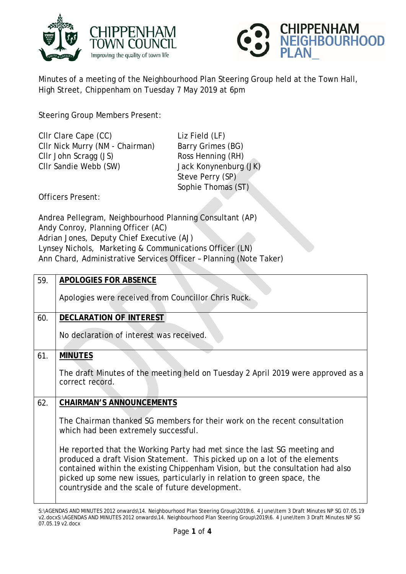



Minutes of a meeting of the Neighbourhood Plan Steering Group held at the Town Hall, High Street, Chippenham on Tuesday 7 May 2019 at 6pm

Steering Group Members Present:

| CIIr Clare Cape (CC)            |  |
|---------------------------------|--|
| CIIr Nick Murry (NM - Chairman) |  |
| CIIr John Scragg (JS)           |  |
| CIIr Sandie Webb (SW)           |  |
|                                 |  |

Liz Field (LF) Barry Grimes (BG) Ross Henning (RH) Jack Konynenburg (JK) Steve Perry (SP) Sophie Thomas (ST)

Officers Present:

Andrea Pellegram, Neighbourhood Planning Consultant (AP) Andy Conroy, Planning Officer (AC) Adrian Jones, Deputy Chief Executive (AJ) Lynsey Nichols, Marketing & Communications Officer (LN) Ann Chard, Administrative Services Officer – Planning (Note Taker)

| 59. | <b>APOLOGIES FOR ABSENCE</b>                                                                                                                                                                                                                                                                                                                                            |
|-----|-------------------------------------------------------------------------------------------------------------------------------------------------------------------------------------------------------------------------------------------------------------------------------------------------------------------------------------------------------------------------|
|     | Apologies were received from Councillor Chris Ruck.                                                                                                                                                                                                                                                                                                                     |
| 60. | DECLARATION OF INTEREST                                                                                                                                                                                                                                                                                                                                                 |
|     | No declaration of interest was received.                                                                                                                                                                                                                                                                                                                                |
| 61. | <b>MINUTES</b>                                                                                                                                                                                                                                                                                                                                                          |
|     | The draft Minutes of the meeting held on Tuesday 2 April 2019 were approved as a<br>correct record.                                                                                                                                                                                                                                                                     |
| 62. | <b>CHAIRMAN'S ANNOUNCEMENTS</b>                                                                                                                                                                                                                                                                                                                                         |
|     | The Chairman thanked SG members for their work on the recent consultation<br>which had been extremely successful.                                                                                                                                                                                                                                                       |
|     | He reported that the Working Party had met since the last SG meeting and<br>produced a draft Vision Statement. This picked up on a lot of the elements<br>contained within the existing Chippenham Vision, but the consultation had also<br>picked up some new issues, particularly in relation to green space, the<br>countryside and the scale of future development. |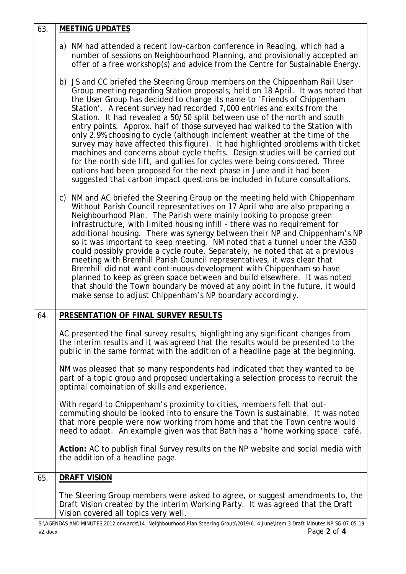| 63. | <b>MEETING UPDATES</b>                                                                                                                                                                                                                                                                                                                                                                                                                                                                                                                                                                                                                                                                                                                                                                                                                                                                                                                                                 |
|-----|------------------------------------------------------------------------------------------------------------------------------------------------------------------------------------------------------------------------------------------------------------------------------------------------------------------------------------------------------------------------------------------------------------------------------------------------------------------------------------------------------------------------------------------------------------------------------------------------------------------------------------------------------------------------------------------------------------------------------------------------------------------------------------------------------------------------------------------------------------------------------------------------------------------------------------------------------------------------|
|     | a) NM had attended a recent low-carbon conference in Reading, which had a<br>number of sessions on Neighbourhood Planning, and provisionally accepted an<br>offer of a free workshop(s) and advice from the Centre for Sustainable Energy.                                                                                                                                                                                                                                                                                                                                                                                                                                                                                                                                                                                                                                                                                                                             |
|     | b) JS and CC briefed the Steering Group members on the Chippenham Rail User<br>Group meeting regarding Station proposals, held on 18 April. It was noted that<br>the User Group has decided to change its name to 'Friends of Chippenham<br>Station'. A recent survey had recorded 7,000 entries and exits from the<br>Station. It had revealed a 50/50 split between use of the north and south<br>entry points. Approx. half of those surveyed had walked to the Station with<br>only 2.9% choosing to cycle (although inclement weather at the time of the<br>survey may have affected this figure). It had highlighted problems with ticket<br>machines and concerns about cycle thefts. Design studies will be carried out<br>for the north side lift, and gullies for cycles were being considered. Three<br>options had been proposed for the next phase in June and it had been<br>suggested that carbon impact questions be included in future consultations. |
|     | c) NM and AC briefed the Steering Group on the meeting held with Chippenham<br>Without Parish Council representatives on 17 April who are also preparing a<br>Neighbourhood Plan. The Parish were mainly looking to propose green<br>infrastructure, with limited housing infill - there was no requirement for<br>additional housing. There was synergy between their NP and Chippenham's NP<br>so it was important to keep meeting. NM noted that a tunnel under the A350<br>could possibly provide a cycle route. Separately, he noted that at a previous<br>meeting with Bremhill Parish Council representatives, it was clear that<br>Bremhill did not want continuous development with Chippenham so have<br>planned to keep as green space between and build elsewhere. It was noted<br>that should the Town boundary be moved at any point in the future, it would<br>make sense to adjust Chippenham's NP boundary accordingly.                               |
| 64. | PRESENTATION OF FINAL SURVEY RESULTS                                                                                                                                                                                                                                                                                                                                                                                                                                                                                                                                                                                                                                                                                                                                                                                                                                                                                                                                   |
|     | AC presented the final survey results, highlighting any significant changes from<br>the interim results and it was agreed that the results would be presented to the<br>public in the same format with the addition of a headline page at the beginning.                                                                                                                                                                                                                                                                                                                                                                                                                                                                                                                                                                                                                                                                                                               |
|     | NM was pleased that so many respondents had indicated that they wanted to be<br>part of a topic group and proposed undertaking a selection process to recruit the<br>optimal combination of skills and experience.                                                                                                                                                                                                                                                                                                                                                                                                                                                                                                                                                                                                                                                                                                                                                     |
|     | With regard to Chippenham's proximity to cities, members felt that out-<br>commuting should be looked into to ensure the Town is sustainable. It was noted<br>that more people were now working from home and that the Town centre would<br>need to adapt. An example given was that Bath has a 'home working space' café.                                                                                                                                                                                                                                                                                                                                                                                                                                                                                                                                                                                                                                             |
|     | Action: AC to publish final Survey results on the NP website and social media with<br>the addition of a headline page.                                                                                                                                                                                                                                                                                                                                                                                                                                                                                                                                                                                                                                                                                                                                                                                                                                                 |
| 65. | <b>DRAFT VISION</b>                                                                                                                                                                                                                                                                                                                                                                                                                                                                                                                                                                                                                                                                                                                                                                                                                                                                                                                                                    |
|     | The Steering Group members were asked to agree, or suggest amendments to, the<br>Draft Vision created by the interim Working Party. It was agreed that the Draft<br>Vision covered all topics very well.                                                                                                                                                                                                                                                                                                                                                                                                                                                                                                                                                                                                                                                                                                                                                               |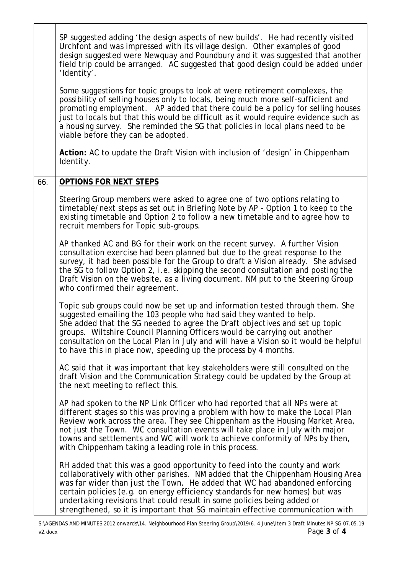|     | SP suggested adding 'the design aspects of new builds'. He had recently visited<br>Urchfont and was impressed with its village design. Other examples of good<br>design suggested were Newquay and Poundbury and it was suggested that another<br>field trip could be arranged. AC suggested that good design could be added under<br>'Identity'.                                                                                                                                       |
|-----|-----------------------------------------------------------------------------------------------------------------------------------------------------------------------------------------------------------------------------------------------------------------------------------------------------------------------------------------------------------------------------------------------------------------------------------------------------------------------------------------|
|     | Some suggestions for topic groups to look at were retirement complexes, the<br>possibility of selling houses only to locals, being much more self-sufficient and<br>promoting employment. AP added that there could be a policy for selling houses<br>just to locals but that this would be difficult as it would require evidence such as<br>a housing survey. She reminded the SG that policies in local plans need to be<br>viable before they can be adopted.                       |
|     | Action: AC to update the Draft Vision with inclusion of 'design' in Chippenham<br>Identity.                                                                                                                                                                                                                                                                                                                                                                                             |
| 66. | <b>OPTIONS FOR NEXT STEPS</b>                                                                                                                                                                                                                                                                                                                                                                                                                                                           |
|     | Steering Group members were asked to agree one of two options relating to<br>timetable/next steps as set out in Briefing Note by AP - Option 1 to keep to the<br>existing timetable and Option 2 to follow a new timetable and to agree how to<br>recruit members for Topic sub-groups.                                                                                                                                                                                                 |
|     | AP thanked AC and BG for their work on the recent survey. A further Vision<br>consultation exercise had been planned but due to the great response to the<br>survey, it had been possible for the Group to draft a Vision already. She advised<br>the SG to follow Option 2, i.e. skipping the second consultation and posting the<br>Draft Vision on the website, as a living document. NM put to the Steering Group<br>who confirmed their agreement.                                 |
|     | Topic sub groups could now be set up and information tested through them. She<br>suggested emailing the 103 people who had said they wanted to help.<br>She added that the SG needed to agree the Draft objectives and set up topic<br>groups. Wiltshire Council Planning Officers would be carrying out another<br>consultation on the Local Plan in July and will have a Vision so it would be helpful<br>to have this in place now, speeding up the process by 4 months.             |
|     | AC said that it was important that key stakeholders were still consulted on the<br>draft Vision and the Communication Strategy could be updated by the Group at<br>the next meeting to reflect this.                                                                                                                                                                                                                                                                                    |
|     | AP had spoken to the NP Link Officer who had reported that all NPs were at<br>different stages so this was proving a problem with how to make the Local Plan<br>Review work across the area. They see Chippenham as the Housing Market Area,<br>not just the Town. WC consultation events will take place in July with major<br>towns and settlements and WC will work to achieve conformity of NPs by then,<br>with Chippenham taking a leading role in this process.                  |
|     | RH added that this was a good opportunity to feed into the county and work<br>collaboratively with other parishes. NM added that the Chippenham Housing Area<br>was far wider than just the Town. He added that WC had abandoned enforcing<br>certain policies (e.g. on energy efficiency standards for new homes) but was<br>undertaking revisions that could result in some policies being added or<br>strengthened, so it is important that SG maintain effective communication with |

S:\AGENDAS AND MINUTES 2012 onwards\14. Neighbourhood Plan Steering Group\2019\6. 4 June\Item 3 Draft Minutes NP SG 07.05.19 v2.docx Page **3** of **4**